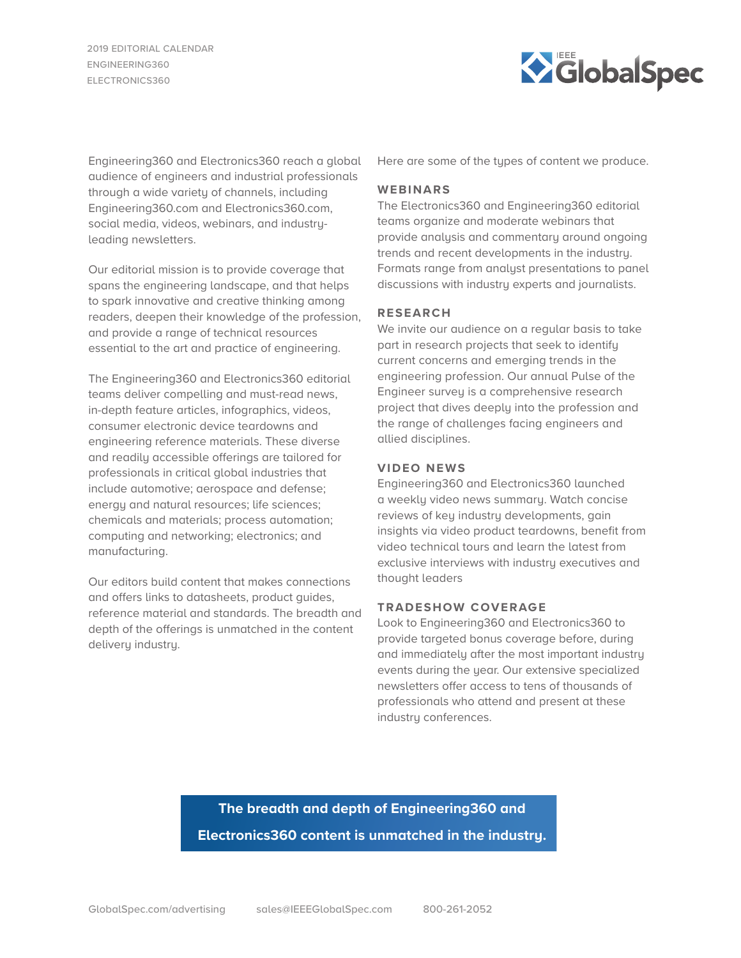2019 EDITORIAL CALENDAR ENGINEERING360 ELECTRONICS360



Engineering360 and Electronics360 reach a global audience of engineers and industrial professionals through a wide variety of channels, including Engineering360.com and Electronics360.com, social media, videos, webinars, and industryleading newsletters.

Our editorial mission is to provide coverage that spans the engineering landscape, and that helps to spark innovative and creative thinking among readers, deepen their knowledge of the profession, and provide a range of technical resources essential to the art and practice of engineering.

The Engineering360 and Electronics360 editorial teams deliver compelling and must-read news, in-depth feature articles, infographics, videos, consumer electronic device teardowns and engineering reference materials. These diverse and readily accessible offerings are tailored for professionals in critical global industries that include automotive; aerospace and defense; energy and natural resources; life sciences; chemicals and materials; process automation; computing and networking; electronics; and manufacturing.

Our editors build content that makes connections and offers links to datasheets, product guides, reference material and standards. The breadth and depth of the offerings is unmatched in the content delivery industry.

Here are some of the types of content we produce.

#### **WEBINARS**

The Electronics360 and Engineering360 editorial teams organize and moderate webinars that provide analysis and commentary around ongoing trends and recent developments in the industry. Formats range from analyst presentations to panel discussions with industry experts and journalists.

## **RESEARCH**

We invite our audience on a regular basis to take part in research projects that seek to identify current concerns and emerging trends in the engineering profession. Our annual Pulse of the Engineer survey is a comprehensive research project that dives deeply into the profession and the range of challenges facing engineers and allied disciplines.

#### **VIDEO NEWS**

Engineering360 and Electronics360 launched a weekly video news summary. Watch concise reviews of key industry developments, gain insights via video product teardowns, benefit from video technical tours and learn the latest from exclusive interviews with industry executives and thought leaders

### **TRADESHOW COVERAGE**

Look to Engineering360 and Electronics360 to provide targeted bonus coverage before, during and immediately after the most important industry events during the year. Our extensive specialized newsletters offer access to tens of thousands of professionals who attend and present at these industry conferences.

# **The breadth and depth of Engineering360 and Electronics360 content is unmatched in the industry.**